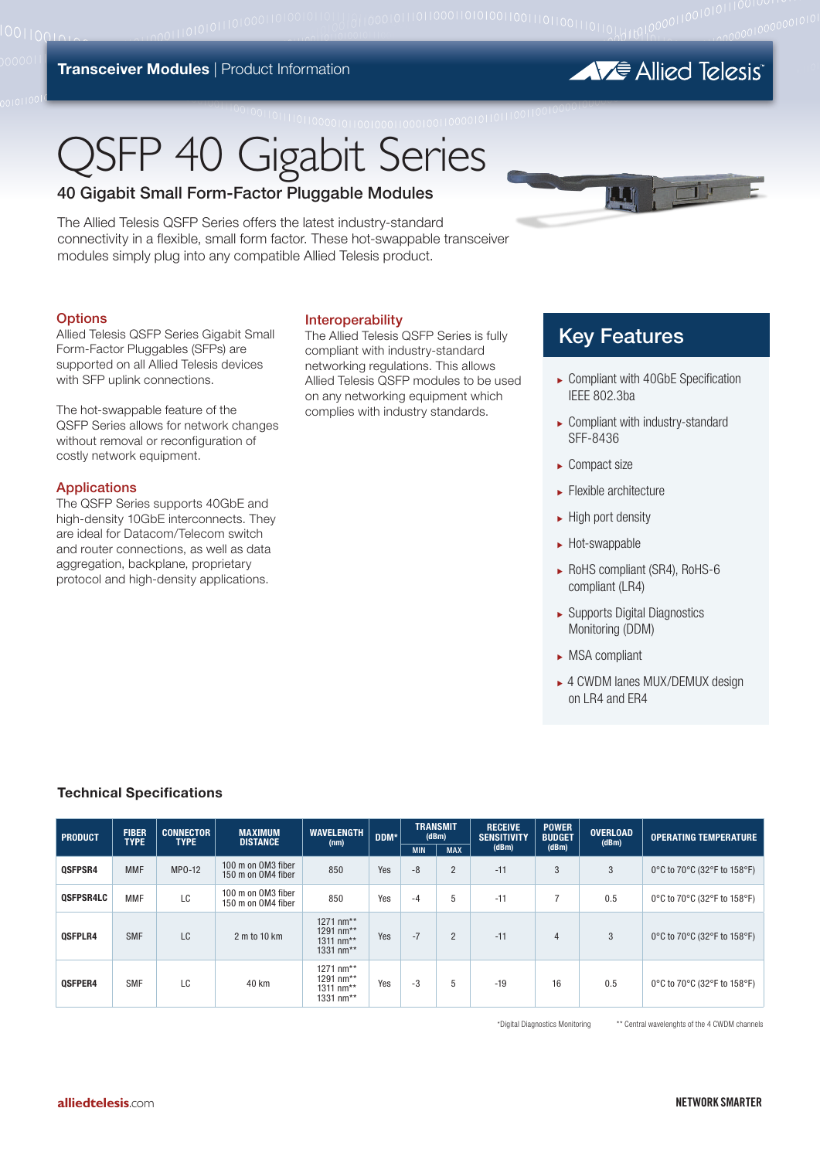#### **Transceiver Modules | Product Information**

**AVE** Allied Telesis

# **JSFP 40 Gigabit Series**

# 40 Gigabit Small Form-Factor Pluggable Modules

The Allied Telesis QSFP Series offers the latest industry-standard connectivity in a flexible, small form factor. These hot-swappable transceiver modules simply plug into any compatible Allied Telesis product.

#### **Options**

Allied Telesis QSFP Series Gigabit Small Form-Factor Pluggables (SFPs) are supported on all Allied Telesis devices with SFP uplink connections.

The hot-swappable feature of the QSFP Series allows for network changes without removal or reconfiguration of costly network equipment.

#### Applications

The QSFP Series supports 40GbE and high-density 10GbE interconnects. They are ideal for Datacom/Telecom switch and router connections, as well as data aggregation, backplane, proprietary protocol and high-density applications.

#### Interoperability

The Allied Telesis QSFP Series is fully compliant with industry-standard networking regulations. This allows Allied Telesis QSFP modules to be used on any networking equipment which complies with industry standards.

# Key Features

LT.

- ▶ Compliant with 40GbE Specification IEEE 802.3ba
- ► Compliant with industry-standard SFF-8436
- $\blacktriangleright$  Compact size
- $\blacktriangleright$  Flexible architecture
- $\blacktriangleright$  High port density
- $\blacktriangleright$  Hot-swappable
- <sup>ۼ</sup> RoHS compliant (SR4), RoHS-6 compliant (LR4)
- <sup>ۼ</sup> Supports Digital Diagnostics Monitoring (DDM)
- $\triangleright$  MSA compliant
- ► 4 CWDM lanes MUX/DEMUX design on LR4 and ER4

## **Technical Specifications**

| <b>PRODUCT</b>   | <b>FIBER</b><br><b>TYPE</b> | <b>CONNECTOR</b><br><b>TYPE</b> | <b>MAXIMUM</b><br><b>DISTANCE</b>        | <b>WAVELENGTH</b><br>(nm)                        | DDM* | <b>TRANSMIT</b><br>(dBm) |                | <b>RECEIVE</b><br><b>SENSITIVITY</b> | <b>POWER</b><br><b>BUDGET</b> | <b>OVERLOAD</b><br>(dBm) | <b>OPERATING TEMPERATURE</b> |
|------------------|-----------------------------|---------------------------------|------------------------------------------|--------------------------------------------------|------|--------------------------|----------------|--------------------------------------|-------------------------------|--------------------------|------------------------------|
|                  |                             |                                 |                                          |                                                  |      | <b>MIN</b>               | <b>MAX</b>     | (dBm)                                | (dBm)                         |                          |                              |
| <b>OSFPSR4</b>   | <b>MMF</b>                  | MP0-12                          | 100 m on OM3 fiber<br>150 m on OM4 fiber | 850                                              | Yes  | $-8$                     | $\overline{2}$ | $-11$                                | 3                             | 3                        | 0°C to 70°C (32°F to 158°F)  |
| <b>OSFPSR4LC</b> | <b>MMF</b>                  | LC                              | 100 m on OM3 fiber<br>150 m on OM4 fiber | 850                                              | Yes  | -4                       | 5              | $-11$                                | 7                             | 0.5                      | 0°C to 70°C (32°F to 158°F)  |
| <b>OSFPLR4</b>   | <b>SMF</b>                  | LC                              | 2 m to 10 km                             | 1271 nm**<br>1291 nm**<br>1311 nm**<br>1331 nm** | Yes  | $-7$                     | $\overline{2}$ | $-11$                                | $\overline{4}$                | 3                        | 0°C to 70°C (32°F to 158°F)  |
| <b>OSFPER4</b>   | SMF                         | LC                              | 40 km                                    | 1271 nm**<br>1291 nm**<br>1311 nm**<br>1331 nm** | Yes  | -3                       | 5              | $-19$                                | 16                            | 0.5                      | 0°C to 70°C (32°F to 158°F)  |

\*Digital Diagnostics Monitoring \*\* Central wavelenghts of the 4 CWDM channels